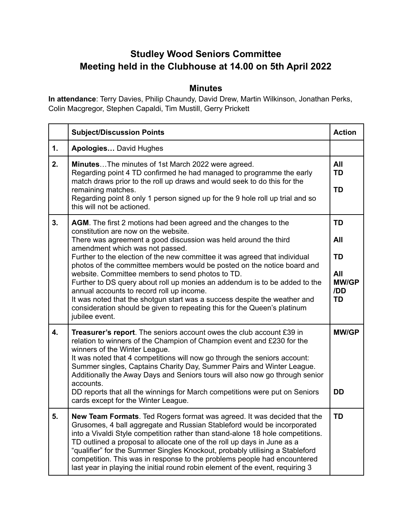## **Studley Wood Seniors Committee Meeting held in the Clubhouse at 14.00 on 5th April 2022**

## **Minutes**

**In attendance**: Terry Davies, Philip Chaundy, David Drew, Martin Wilkinson, Jonathan Perks, Colin Macgregor, Stephen Capaldi, Tim Mustill, Gerry Prickett

|    | <b>Subject/Discussion Points</b>                                                                                                                                                                                                                                                                                                                                                                                                                                                                                                                                                                                                                                                                                                 | <b>Action</b>                                              |
|----|----------------------------------------------------------------------------------------------------------------------------------------------------------------------------------------------------------------------------------------------------------------------------------------------------------------------------------------------------------------------------------------------------------------------------------------------------------------------------------------------------------------------------------------------------------------------------------------------------------------------------------------------------------------------------------------------------------------------------------|------------------------------------------------------------|
| 1. | Apologies David Hughes                                                                                                                                                                                                                                                                                                                                                                                                                                                                                                                                                                                                                                                                                                           |                                                            |
| 2. | <b>MinutesThe minutes of 1st March 2022 were agreed.</b><br>Regarding point 4 TD confirmed he had managed to programme the early<br>match draws prior to the roll up draws and would seek to do this for the<br>remaining matches.<br>Regarding point 8 only 1 person signed up for the 9 hole roll up trial and so<br>this will not be actioned.                                                                                                                                                                                                                                                                                                                                                                                | All<br><b>TD</b><br><b>TD</b>                              |
| 3. | AGM. The first 2 motions had been agreed and the changes to the<br>constitution are now on the website.<br>There was agreement a good discussion was held around the third<br>amendment which was not passed.<br>Further to the election of the new committee it was agreed that individual<br>photos of the committee members would be posted on the notice board and<br>website. Committee members to send photos to TD.<br>Further to DS query about roll up monies an addendum is to be added to the<br>annual accounts to record roll up income.<br>It was noted that the shotgun start was a success despite the weather and<br>consideration should be given to repeating this for the Queen's platinum<br>jubilee event. | <b>TD</b><br>All<br>TD<br>All<br><b>MW/GP</b><br>/DD<br>TD |
| 4. | Treasurer's report. The seniors account owes the club account £39 in<br>relation to winners of the Champion of Champion event and £230 for the<br>winners of the Winter League.<br>It was noted that 4 competitions will now go through the seniors account:<br>Summer singles, Captains Charity Day, Summer Pairs and Winter League.<br>Additionally the Away Days and Seniors tours will also now go through senior<br>accounts.<br>DD reports that all the winnings for March competitions were put on Seniors<br>cards except for the Winter League.                                                                                                                                                                         | <b>MW/GP</b><br><b>DD</b>                                  |
| 5. | New Team Formats. Ted Rogers format was agreed. It was decided that the<br>Grusomes, 4 ball aggregate and Russian Stableford would be incorporated<br>into a Vivaldi Style competition rather than stand-alone 18 hole competitions.<br>TD outlined a proposal to allocate one of the roll up days in June as a<br>"qualifier" for the Summer Singles Knockout, probably utilising a Stableford<br>competition. This was in response to the problems people had encountered<br>last year in playing the initial round robin element of the event, requiring 3                                                                                                                                                                    | <b>TD</b>                                                  |